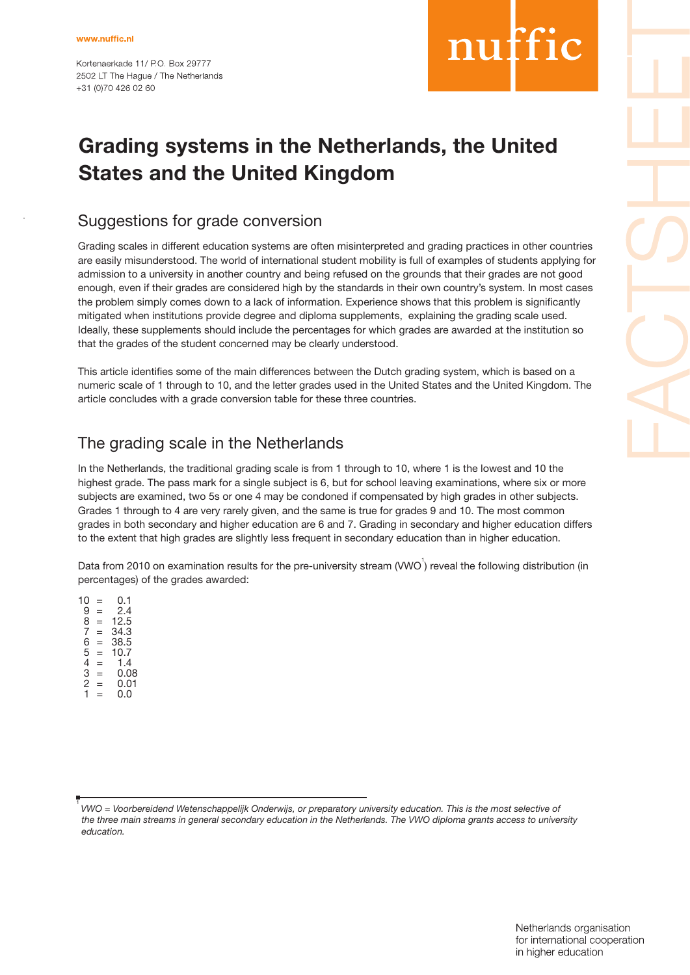Kortenaerkade 11/ PO Box 29777 2502 LT The Haque / The Netherlands +31 (0)70 426 02 60

# nuffic

## **Grading systems in the Netherlands, the United States and the United Kingdom**

### Suggestions for grade conversion

Grading scales in different education systems are often misinterpreted and grading practices in other countries are easily misunderstood. The world of international student mobility is full of examples of students applying for admission to a university in another country and being refused on the grounds that their grades are not good enough, even if their grades are considered high by the standards in their own country's system. In most cases the problem simply comes down to a lack of information. Experience shows that this problem is significantly mitigated when institutions provide degree and diploma supplements, explaining the grading scale used. Ideally, these supplements should include the percentages for which grades are awarded at the institution so that the grades of the student concerned may be clearly understood.

This article identifies some of the main differences between the Dutch grading system, which is based on a numeric scale of 1 through to 10, and the letter grades used in the United States and the United Kingdom. The article concludes with a grade conversion table for these three countries.

### The grading scale in the Netherlands

In the Netherlands, the traditional grading scale is from 1 through to 10, where 1 is the lowest and 10 the highest grade. The pass mark for a single subject is 6, but for school leaving examinations, where six or more subjects are examined, two 5s or one 4 may be condoned if compensated by high grades in other subjects. Grades 1 through to 4 are very rarely given, and the same is true for grades 9 and 10. The most common grades in both secondary and higher education are 6 and 7. Grading in secondary and higher education differs to the extent that high grades are slightly less frequent in secondary education than in higher education.

Data from 2010 on examination results for the pre-university stream (VWO<sup>1</sup>) reveal the following distribution (in percentages) of the grades awarded:

 $10 = 0.1$  $9 = 2.4$  $8 = 12.5$  $7 = 34.3$  $7 = 34.3$ <br>  $6 = 38.5$ <br>  $5 = 10.7$  $5 = 10.7$ <br> $4 = 1.4$  $4 = 1.4$ <br>  $3 = 0.0$ <br>  $2 = 0.0$  $= 0.08$  $= 0.01$  $= 0.0$ 

<sup>&</sup>lt;sup>1</sup> VWO = Voorbereidend Wetenschappelijk Onderwijs, or preparatory university education. This is the most selective of  *the three main streams in general secondary education in the Netherlands. The VWO diploma grants access to university education.*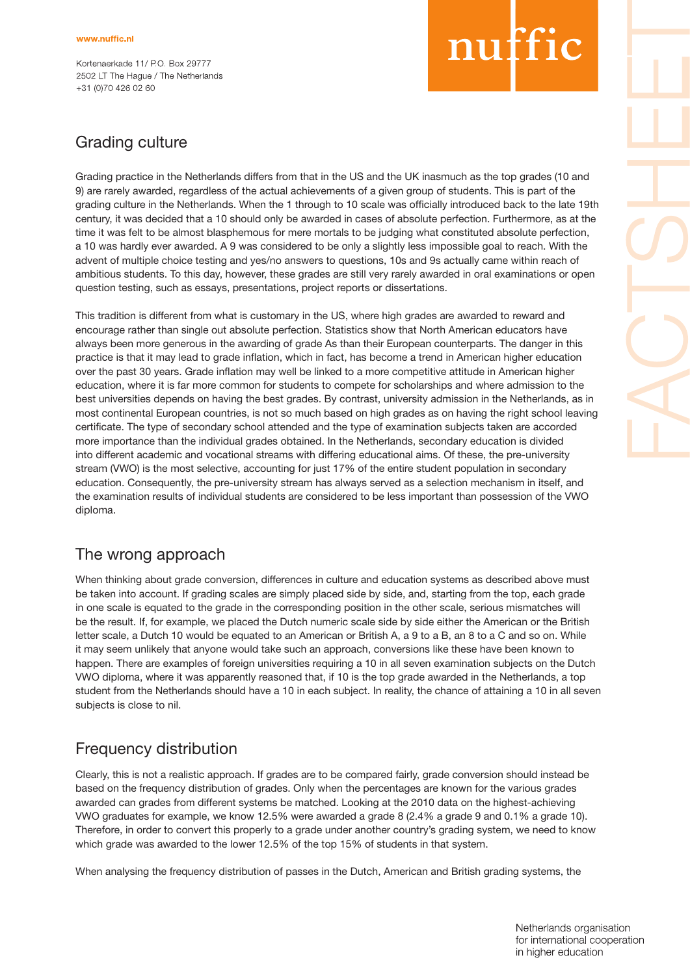Kortenaerkade 11/ P.O. Box 29777 2502 LT The Haque / The Netherlands +31 (0)70 426 02 60

# nuffic

## Grading culture

Grading practice in the Netherlands differs from that in the US and the UK inasmuch as the top grades (10 and 9) are rarely awarded, regardless of the actual achievements of a given group of students. This is part of the grading culture in the Netherlands. When the 1 through to 10 scale was officially introduced back to the late 19th century, it was decided that a 10 should only be awarded in cases of absolute perfection. Furthermore, as at the time it was felt to be almost blasphemous for mere mortals to be judging what constituted absolute perfection, a 10 was hardly ever awarded. A 9 was considered to be only a slightly less impossible goal to reach. With the advent of multiple choice testing and yes/no answers to questions, 10s and 9s actually came within reach of ambitious students. To this day, however, these grades are still very rarely awarded in oral examinations or open question testing, such as essays, presentations, project reports or dissertations.

This tradition is different from what is customary in the US, where high grades are awarded to reward and encourage rather than single out absolute perfection. Statistics show that North American educators have always been more generous in the awarding of grade As than their European counterparts. The danger in this practice is that it may lead to grade inflation, which in fact, has become a trend in American higher education over the past 30 years. Grade inflation may well be linked to a more competitive attitude in American higher education, where it is far more common for students to compete for scholarships and where admission to the best universities depends on having the best grades. By contrast, university admission in the Netherlands, as in most continental European countries, is not so much based on high grades as on having the right school leaving certificate. The type of secondary school attended and the type of examination subjects taken are accorded more importance than the individual grades obtained. In the Netherlands, secondary education is divided into different academic and vocational streams with differing educational aims. Of these, the pre-university stream (VWO) is the most selective, accounting for just 17% of the entire student population in secondary education. Consequently, the pre-university stream has always served as a selection mechanism in itself, and the examination results of individual students are considered to be less important than possession of the VWO diploma.

## The wrong approach

When thinking about grade conversion, differences in culture and education systems as described above must be taken into account. If grading scales are simply placed side by side, and, starting from the top, each grade in one scale is equated to the grade in the corresponding position in the other scale, serious mismatches will be the result. If, for example, we placed the Dutch numeric scale side by side either the American or the British letter scale, a Dutch 10 would be equated to an American or British A, a 9 to a B, an 8 to a C and so on. While it may seem unlikely that anyone would take such an approach, conversions like these have been known to happen. There are examples of foreign universities requiring a 10 in all seven examination subjects on the Dutch VWO diploma, where it was apparently reasoned that, if 10 is the top grade awarded in the Netherlands, a top student from the Netherlands should have a 10 in each subject. In reality, the chance of attaining a 10 in all seven subjects is close to nil.

### Frequency distribution

Clearly, this is not a realistic approach. If grades are to be compared fairly, grade conversion should instead be based on the frequency distribution of grades. Only when the percentages are known for the various grades awarded can grades from different systems be matched. Looking at the 2010 data on the highest-achieving VWO graduates for example, we know 12.5% were awarded a grade 8 (2.4% a grade 9 and 0.1% a grade 10). Therefore, in order to convert this properly to a grade under another country's grading system, we need to know which grade was awarded to the lower 12.5% of the top 15% of students in that system.

When analysing the frequency distribution of passes in the Dutch, American and British grading systems, the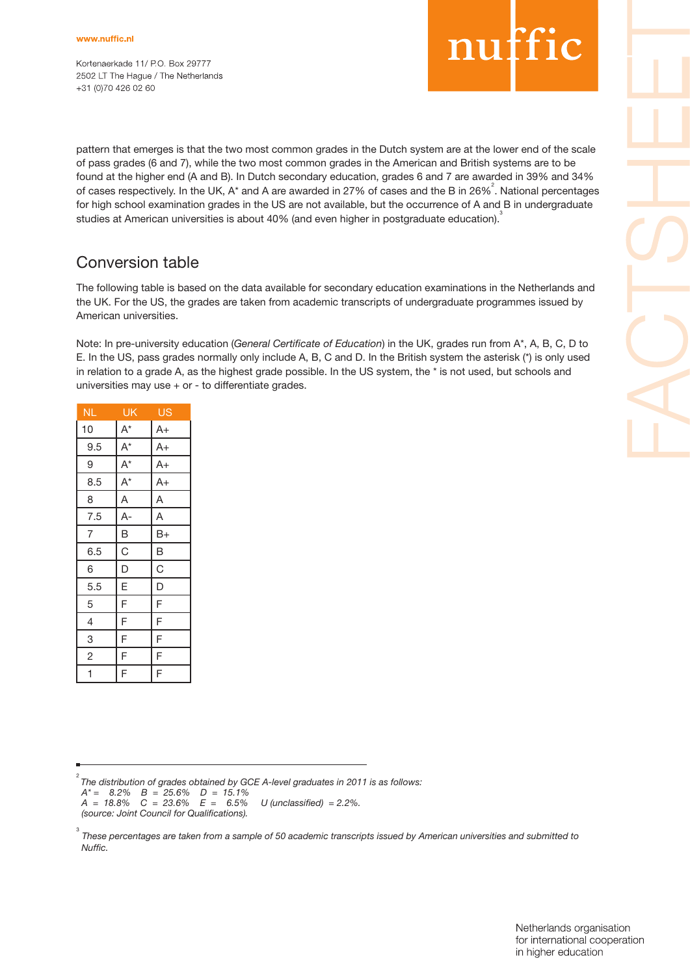Kortenaerkade 11/ PO. Box 29777 2502 LT The Haque / The Netherlands +31 (0)70 426 02 60

## nuffic

pattern that emerges is that the two most common grades in the Dutch system are at the lower end of the scale of pass grades (6 and 7), while the two most common grades in the American and British systems are to be found at the higher end (A and B). In Dutch secondary education, grades 6 and 7 are awarded in 39% and 34% of cases respectively. In the UK, A\* and A are awarded in 27% of cases and the B in 26%<sup>2</sup>. National percentages for high school examination grades in the US are not available, but the occurrence of A and B in undergraduate studies at American universities is about 40% (and even higher in postgraduate education).3

### Conversion table

The following table is based on the data available for secondary education examinations in the Netherlands and the UK. For the US, the grades are taken from academic transcripts of undergraduate programmes issued by American universities.

Note: In pre-university education (*General Certificate of Education*) in the UK, grades run from A\*, A, B, C, D to E. In the US, pass grades normally only include A, B, C and D. In the British system the asterisk (\*) is only used in relation to a grade A, as the highest grade possible. In the US system, the \* is not used, but schools and universities may use + or - to differentiate grades.

| ΝL,            | <u>ŪĶ</u>               | US                      |
|----------------|-------------------------|-------------------------|
| 10             | $A^*$                   | $A+$                    |
| 9.5            | $\overline{A^*}$        | $A+$                    |
| 9              | $\overline{A^*}$        | $A+$                    |
| 8.5            | $A^*$                   | $A+$                    |
| 8              | $\overline{\mathsf{A}}$ | $\overline{\mathsf{A}}$ |
| 7.5            | $A-$                    | A                       |
| $\overline{7}$ | B                       | B+                      |
| 6.5            | C                       | B                       |
| 6              | D                       | C                       |
| 5.5            | E                       | D                       |
| 5              | F                       | F                       |
| $\overline{4}$ | F                       | F                       |
| 3              | F                       | F                       |
| $\overline{c}$ | F                       | F                       |
| $\overline{1}$ | $\overline{F}$          | $\overline{F}$          |

2 *The distribution of grades obtained by GCE A-level graduates in 2011 is as follows:*

 *A\* = 8.2% B = 25.6% D = 15.1%*

 $A = 18.8\% \quad C = 23.6\% \quad E = 6.5\% \quad U \text{ (unclassified)} = 2.2\%.$ 

 *(source: Joint Council for Qualifications).*

3  *These percentages are taken from a sample of 50 academic transcripts issued by American universities and submitted to Nuffic.*